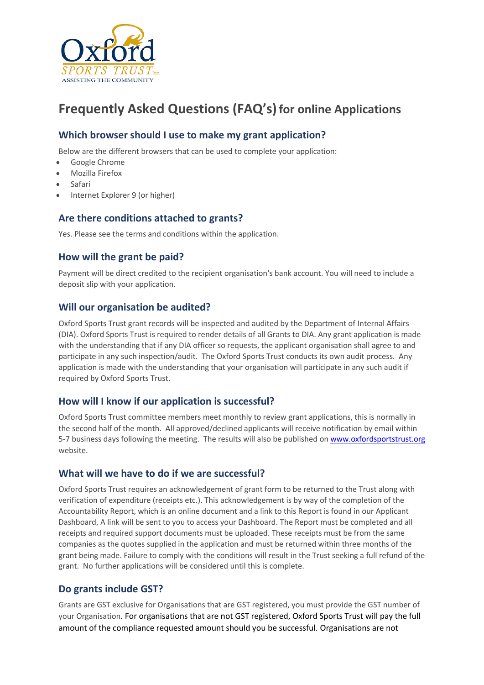

# **Frequently Asked Questions (FAQ's)for online Applications**

# **Which browser should I use to make my grant application?**

Below are the different browsers that can be used to complete your application:

- Google Chrome
- Mozilla Firefox
- Safari
- Internet Explorer 9 (or higher)

## **Are there conditions attached to grants?**

Yes. Please see the terms and conditions within the application.

#### **How will the grant be paid?**

Payment will be direct credited to the recipient organisation's bank account. You will need to include a deposit slip with your application.

#### **Will our organisation be audited?**

Oxford Sports Trust grant records will be inspected and audited by the Department of Internal Affairs (DIA). Oxford Sports Trust is required to render details of all Grants to DIA. Any grant application is made with the understanding that if any DIA officer so requests, the applicant organisation shall agree to and participate in any such inspection/audit. The Oxford Sports Trust conducts its own audit process. Any application is made with the understanding that your organisation will participate in any such audit if required by Oxford Sports Trust.

## **How will I know if our application is successful?**

Oxford Sports Trust committee members meet monthly to review grant applications, this is normally in the second half of the month. All approved/declined applicants will receive notification by email within 5-7 business days following the meeting. The results will also be published o[n www.oxfordsportstrust.org](http://www.oxfordsportstrust.org/) website.

#### **What will we have to do if we are successful?**

Oxford Sports Trust requires an acknowledgement of grant form to be returned to the Trust along with verification of expenditure (receipts etc.). This acknowledgement is by way of the completion of the Accountability Report, which is an online document and a link to this Report is found in our Applicant Dashboard, A link will be sent to you to access your Dashboard. The Report must be completed and all receipts and required support documents must be uploaded. These receipts must be from the same companies as the quotes supplied in the application and must be returned within three months of the grant being made. Failure to comply with the conditions will result in the Trust seeking a full refund of the grant. No further applications will be considered until this is complete.

## **Do grants include GST?**

Grants are GST exclusive for Organisations that are GST registered, you must provide the GST number of your Organisation. For organisations that are not GST registered, Oxford Sports Trust will pay the full amount of the compliance requested amount should you be successful. Organisations are not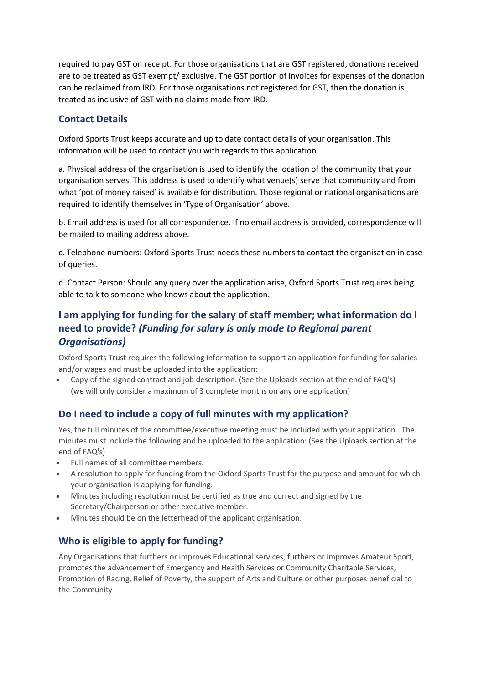required to pay GST on receipt. For those organisations that are GST registered, donations received are to be treated as GST exempt/ exclusive. The GST portion of invoices for expenses of the donation can be reclaimed from IRD. For those organisations not registered for GST, then the donation is treated as inclusive of GST with no claims made from IRD.

# **Contact Details**

Oxford Sports Trust keeps accurate and up to date contact details of your organisation. This information will be used to contact you with regards to this application.

a. Physical address of the organisation is used to identify the location of the community that your organisation serves. This address is used to identify what venue(s) serve that community and from what 'pot of money raised' is available for distribution. Those regional or national organisations are required to identify themselves in 'Type of Organisation' above.

b. Email address is used for all correspondence. If no email address is provided, correspondence will be mailed to mailing address above.

c. Telephone numbers: Oxford Sports Trust needs these numbers to contact the organisation in case of queries.

d. Contact Person: Should any query over the application arise, Oxford Sports Trust requires being able to talk to someone who knows about the application.

# **I am applying for funding for the salary of staff member; what information do I need to provide?** *(Funding for salary is only made to Regional parent Organisations)*

Oxford Sports Trust requires the following information to support an application for funding for salaries and/or wages and must be uploaded into the application:

• Copy of the signed contract and job description. (See the Uploads section at the end of FAQ's) (we will only consider a maximum of 3 complete months on any one application)

# **Do I need to include a copy of full minutes with my application?**

Yes, the full minutes of the committee/executive meeting must be included with your application. The minutes must include the following and be uploaded to the application: (See the Uploads section at the end of FAQ's)

- Full names of all committee members.
- A resolution to apply for funding from the Oxford Sports Trust for the purpose and amount for which your organisation is applying for funding.
- Minutes including resolution must be certified as true and correct and signed by the Secretary/Chairperson or other executive member.
- Minutes should be on the letterhead of the applicant organisation.

# **Who is eligible to apply for funding?**

Any Organisations that furthers or improves Educational services, furthers or improves Amateur Sport, promotes the advancement of Emergency and Health Services or Community Charitable Services, Promotion of Racing, Relief of Poverty, the support of Arts and Culture or other purposes beneficial to the Community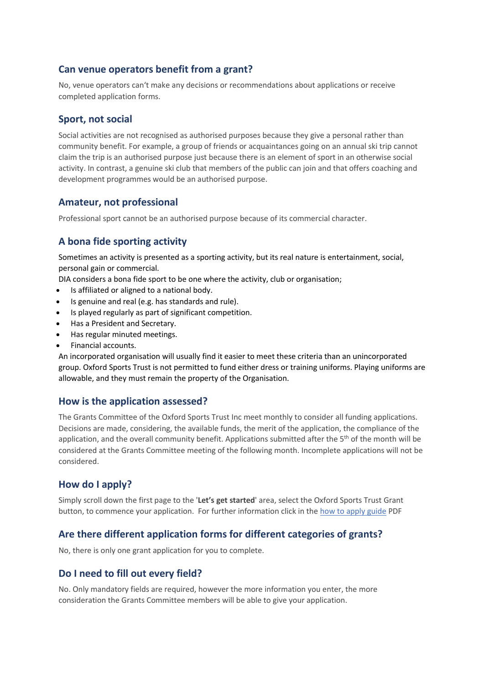## **Can venue operators benefit from a grant?**

No, venue operators can't make any decisions or recommendations about applications or receive completed application forms.

## **Sport, not social**

Social activities are not recognised as authorised purposes because they give a personal rather than community benefit. For example, a group of friends or acquaintances going on an annual ski trip cannot claim the trip is an authorised purpose just because there is an element of sport in an otherwise social activity. In contrast, a genuine ski club that members of the public can join and that offers coaching and development programmes would be an authorised purpose.

#### **Amateur, not professional**

Professional sport cannot be an authorised purpose because of its commercial character.

## **A bona fide sporting activity**

Sometimes an activity is presented as a sporting activity, but its real nature is entertainment, social, personal gain or commercial.

DIA considers a bona fide sport to be one where the activity, club or organisation;

- Is affiliated or aligned to a national body.
- Is genuine and real (e.g. has standards and rule).
- Is played regularly as part of significant competition.
- Has a President and Secretary.
- Has regular minuted meetings.
- Financial accounts.

An incorporated organisation will usually find it easier to meet these criteria than an unincorporated group. Oxford Sports Trust is not permitted to fund either dress or training uniforms. Playing uniforms are allowable, and they must remain the property of the Organisation.

#### **How is the application assessed?**

The Grants Committee of the Oxford Sports Trust Inc meet monthly to consider all funding applications. Decisions are made, considering, the available funds, the merit of the application, the compliance of the application, and the overall community benefit. Applications submitted after the 5<sup>th</sup> of the month will be considered at the Grants Committee meeting of the following month. Incomplete applications will not be considered.

## **How do I apply?**

Simply scroll down the first page to the '**Let's get started**' area, select the Oxford Sports Trust Grant button, to commence your application. For further information click in the how to apply guide PDF

#### **Are there different application forms for different categories of grants?**

No, there is only one grant application for you to complete.

#### **Do I need to fill out every field?**

No. Only mandatory fields are required, however the more information you enter, the more consideration the Grants Committee members will be able to give your application.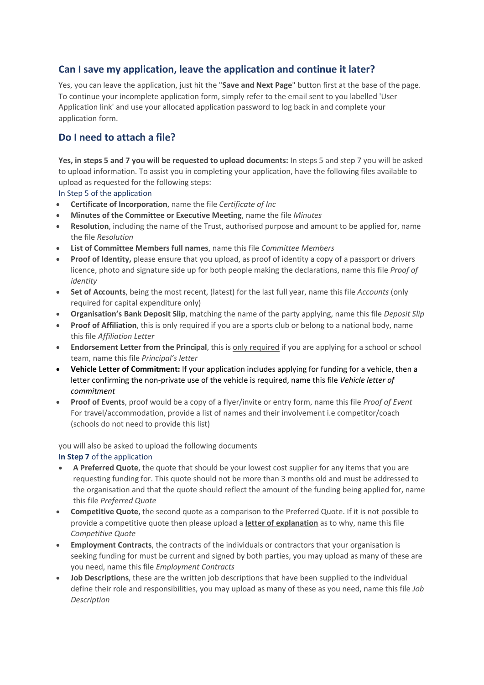# **Can I save my application, leave the application and continue it later?**

Yes, you can leave the application, just hit the "**Save and Next Page**" button first at the base of the page. To continue your incomplete application form, simply refer to the email sent to you labelled 'User Application link' and use your allocated application password to log back in and complete your application form.

# **Do I need to attach a file?**

**Yes, in steps 5 and 7 you will be requested to upload documents:** In steps 5 and step 7 you will be asked to upload information. To assist you in completing your application, have the following files available to upload as requested for the following steps:

In Step 5 of the application

- **Certificate of Incorporation**, name the file *Certificate of Inc*
- **Minutes of the Committee or Executive Meeting**, name the file *Minutes*
- **Resolution**, including the name of the Trust, authorised purpose and amount to be applied for, name the file *Resolution*
- **List of Committee Members full names**, name this file *Committee Members*
- **Proof of Identity,** please ensure that you upload, as proof of identity a copy of a passport or drivers licence, photo and signature side up for both people making the declarations, name this file *Proof of identity*
- **Set of Accounts**, being the most recent, (latest) for the last full year, name this file *Accounts* (only required for capital expenditure only)
- **Organisation's Bank Deposit Slip**, matching the name of the party applying, name this file *Deposit Slip*
- **Proof of Affiliation**, this is only required if you are a sports club or belong to a national body, name this file *Affiliation Letter*
- **Endorsement Letter from the Principal**, this is only required if you are applying for a school or school team, name this file *Principal's letter*
- **Vehicle Letter of Commitment:** If your application includes applying for funding for a vehicle, then a letter confirming the non-private use of the vehicle is required, name this file *Vehicle letter of commitment*
- **Proof of Events**, proof would be a copy of a flyer/invite or entry form, name this file *Proof of Event* For travel/accommodation, provide a list of names and their involvement i.e competitor/coach (schools do not need to provide this list)

you will also be asked to upload the following documents

**In Step 7** of the application

- **A Preferred Quote**, the quote that should be your lowest cost supplier for any items that you are requesting funding for. This quote should not be more than 3 months old and must be addressed to the organisation and that the quote should reflect the amount of the funding being applied for, name this file *Preferred Quote*
- **Competitive Quote**, the second quote as a comparison to the Preferred Quote. If it is not possible to provide a competitive quote then please upload a **letter of explanation** as to why, name this file *Competitive Quote*
- **Employment Contracts**, the contracts of the individuals or contractors that your organisation is seeking funding for must be current and signed by both parties, you may upload as many of these are you need, name this file *Employment Contracts*
- **Job Descriptions**, these are the written job descriptions that have been supplied to the individual define their role and responsibilities, you may upload as many of these as you need, name this file *Job Description*